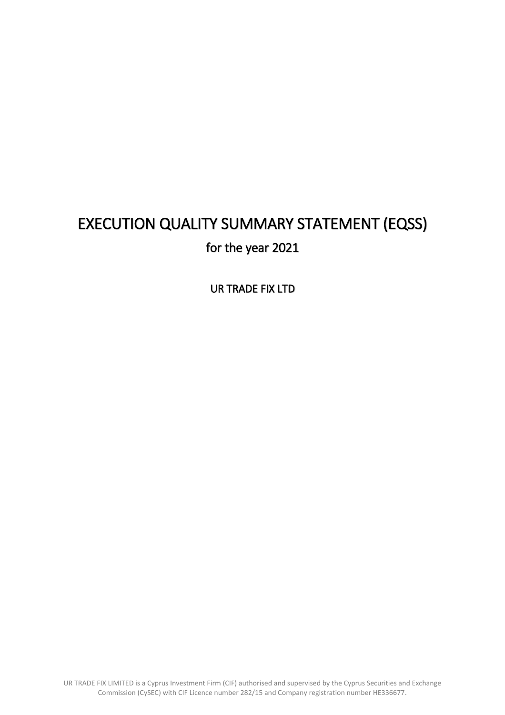# EXECUTION QUALITY SUMMARY STATEMENT (EQSS) for the year 2021

UR TRADE FIX LTD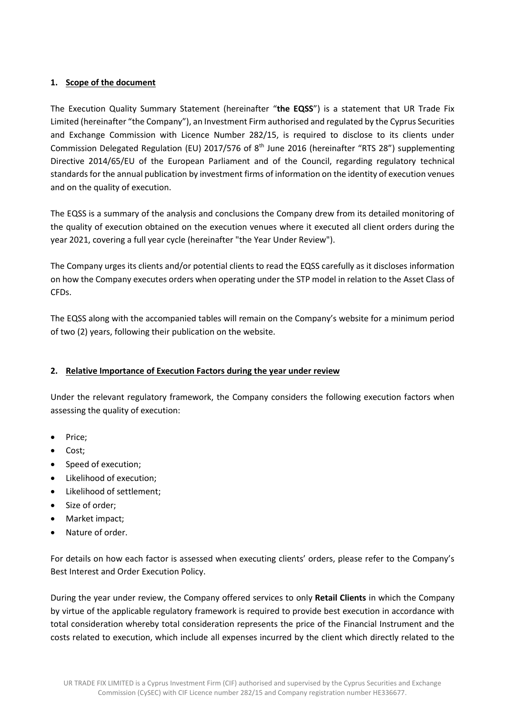## **1. Scope of the document**

The Execution Quality Summary Statement (hereinafter "**the EQSS**") is a statement that UR Trade Fix Limited (hereinafter "the Company"), an Investment Firm authorised and regulated by the Cyprus Securities and Exchange Commission with Licence Number 282/15, is required to disclose to its clients under Commission Delegated Regulation (EU) 2017/576 of  $8<sup>th</sup>$  June 2016 (hereinafter "RTS 28") supplementing Directive 2014/65/EU of the European Parliament and of the Council, regarding regulatory technical standards for the annual publication by investment firms of information on the identity of execution venues and on the quality of execution.

The EQSS is a summary of the analysis and conclusions the Company drew from its detailed monitoring of the quality of execution obtained on the execution venues where it executed all client orders during the year 2021, covering a full year cycle (hereinafter "the Year Under Review").

The Company urges its clients and/or potential clients to read the EQSS carefully as it discloses information on how the Company executes orders when operating under the STP model in relation to the Asset Class of CFDs.

The EQSS along with the accompanied tables will remain on the Company's website for a minimum period of two (2) years, following their publication on the website.

## **2. Relative Importance of Execution Factors during the year under review**

Under the relevant regulatory framework, the Company considers the following execution factors when assessing the quality of execution:

- Price;
- Cost;
- Speed of execution;
- Likelihood of execution;
- Likelihood of settlement;
- Size of order;
- Market impact;
- Nature of order.

For details on how each factor is assessed when executing clients' orders, please refer to the Company's Best Interest and Order Execution Policy.

During the year under review, the Company offered services to only **Retail Clients** in which the Company by virtue of the applicable regulatory framework is required to provide best execution in accordance with total consideration whereby total consideration represents the price of the Financial Instrument and the costs related to execution, which include all expenses incurred by the client which directly related to the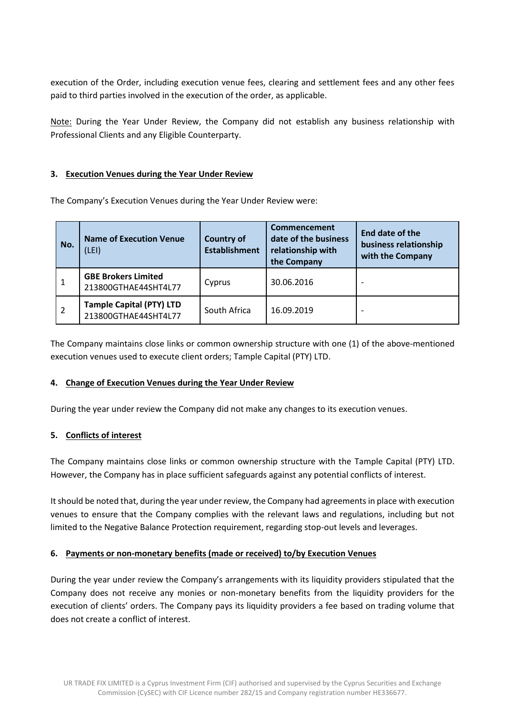execution of the Order, including execution venue fees, clearing and settlement fees and any other fees paid to third parties involved in the execution of the order, as applicable.

Note: During the Year Under Review, the Company did not establish any business relationship with Professional Clients and any Eligible Counterparty.

#### **3. Execution Venues during the Year Under Review**

The Company's Execution Venues during the Year Under Review were:

| No.            | <b>Name of Execution Venue</b><br>(LEI)                 | <b>Country of</b><br><b>Establishment</b> | Commencement<br>date of the business<br>relationship with<br>the Company | End date of the<br>business relationship<br>with the Company |
|----------------|---------------------------------------------------------|-------------------------------------------|--------------------------------------------------------------------------|--------------------------------------------------------------|
|                | <b>GBE Brokers Limited</b><br>213800GTHAE44SHT4L77      | Cyprus                                    | 30.06.2016                                                               |                                                              |
| $\overline{2}$ | <b>Tample Capital (PTY) LTD</b><br>213800GTHAE44SHT4L77 | South Africa                              | 16.09.2019                                                               |                                                              |

The Company maintains close links or common ownership structure with one (1) of the above-mentioned execution venues used to execute client orders; Tample Capital (PTY) LTD.

#### **4. Change of Execution Venues during the Year Under Review**

During the year under review the Company did not make any changes to its execution venues.

#### **5. Conflicts of interest**

The Company maintains close links or common ownership structure with the Tample Capital (PTY) LTD. However, the Company has in place sufficient safeguards against any potential conflicts of interest.

It should be noted that, during the year under review, the Company had agreements in place with execution venues to ensure that the Company complies with the relevant laws and regulations, including but not limited to the Negative Balance Protection requirement, regarding stop-out levels and leverages.

## **6. Payments or non-monetary benefits (made or received) to/by Execution Venues**

During the year under review the Company's arrangements with its liquidity providers stipulated that the Company does not receive any monies or non-monetary benefits from the liquidity providers for the execution of clients' orders. The Company pays its liquidity providers a fee based on trading volume that does not create a conflict of interest.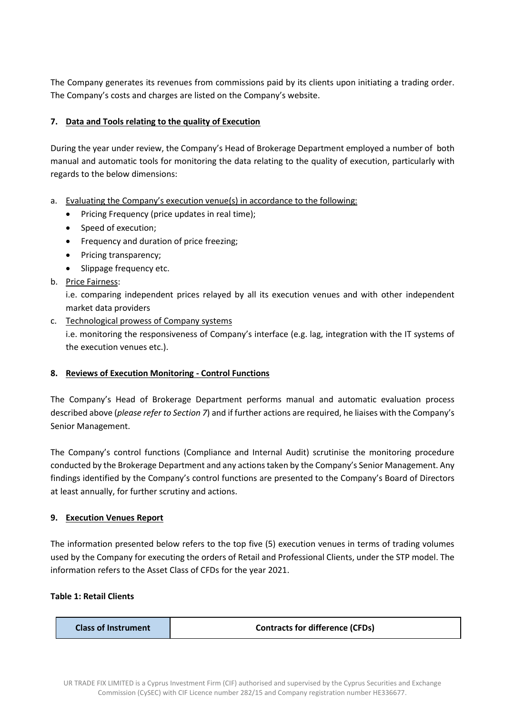The Company generates its revenues from commissions paid by its clients upon initiating a trading order. The Company's costs and charges are listed on the Company's website.

## **7. Data and Tools relating to the quality of Execution**

During the year under review, the Company's Head of Brokerage Department employed a number of both manual and automatic tools for monitoring the data relating to the quality of execution, particularly with regards to the below dimensions:

- a. Evaluating the Company's execution venue(s) in accordance to the following:
	- Pricing Frequency (price updates in real time);
	- Speed of execution;
	- Frequency and duration of price freezing;
	- Pricing transparency;
	- Slippage frequency etc.
- b. Price Fairness:

i.e. comparing independent prices relayed by all its execution venues and with other independent market data providers

c. Technological prowess of Company systems

i.e. monitoring the responsiveness of Company's interface (e.g. lag, integration with the IT systems of the execution venues etc.).

## **8. Reviews of Execution Monitoring - Control Functions**

The Company's Head of Brokerage Department performs manual and automatic evaluation process described above (*please refer to Section 7*) and if further actions are required, he liaises with the Company's Senior Management.

The Company's control functions (Compliance and Internal Audit) scrutinise the monitoring procedure conducted by the Brokerage Department and any actions taken by the Company's Senior Management. Any findings identified by the Company's control functions are presented to the Company's Board of Directors at least annually, for further scrutiny and actions.

## **9. Execution Venues Report**

The information presented below refers to the top five (5) execution venues in terms of trading volumes used by the Company for executing the orders of Retail and Professional Clients, under the STP model. The information refers to the Asset Class of CFDs for the year 2021.

#### **Table 1: Retail Clients**

| <b>Class of Instrument</b> | <b>Contracts for difference (CFDs)</b> |
|----------------------------|----------------------------------------|
|----------------------------|----------------------------------------|